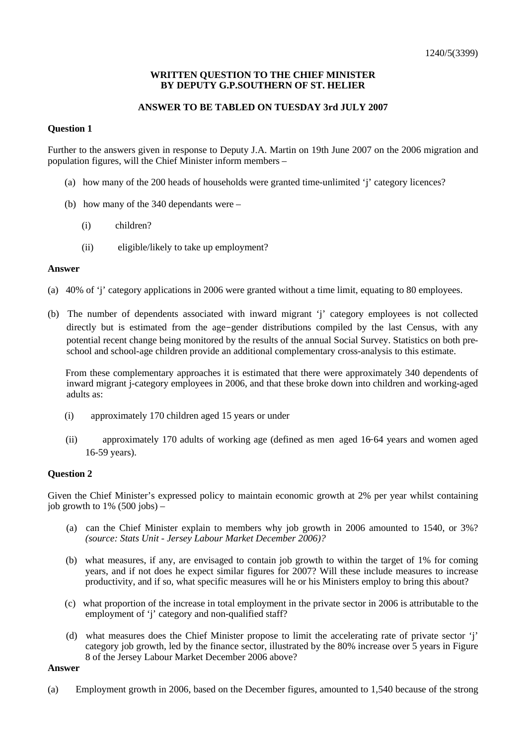## **WRITTEN QUESTION TO THE CHIEF MINISTER BY DEPUTY G.P.SOUTHERN OF ST. HELIER**

# **ANSWER TO BE TABLED ON TUESDAY 3rd JULY 2007**

# **Question 1**

Further to the answers given in response to Deputy J.A. Martin on 19th June 2007 on the 2006 migration and population figures, will the Chief Minister inform members –

- (a) how many of the 200 heads of households were granted time-unlimited 'j' category licences?
- (b) how many of the 340 dependants were
	- (i) children?
	- (ii) eligible/likely to take up employment?

### **Answer**

- (a) 40% of 'j' category applications in 2006 were granted without a time limit, equating to 80 employees.
- (b) The number of dependents associated with inward migrant 'j' category employees is not collected directly but is estimated from the age-gender distributions compiled by the last Census, with any potential recent change being monitored by the results of the annual Social Survey. Statistics on both preschool and school-age children provide an additional complementary cross-analysis to this estimate.

 From these complementary approaches it is estimated that there were approximately 340 dependents of inward migrant j-category employees in 2006, and that these broke down into children and working-aged adults as:

- (i) approximately 170 children aged 15 years or under
- (ii) approximately 170 adults of working age (defined as men aged 16-64 years and women aged 16-59 years).

## **Question 2**

Given the Chief Minister's expressed policy to maintain economic growth at 2% per year whilst containing job growth to  $1\%$  (500 jobs) –

- (a) can the Chief Minister explain to members why job growth in 2006 amounted to 1540, or 3%? *(source: Stats Unit - Jersey Labour Market December 2006)?*
- (b) what measures, if any, are envisaged to contain job growth to within the target of 1% for coming years, and if not does he expect similar figures for 2007? Will these include measures to increase productivity, and if so, what specific measures will he or his Ministers employ to bring this about?
- (c) what proportion of the increase in total employment in the private sector in 2006 is attributable to the employment of 'j' category and non-qualified staff?
- (d) what measures does the Chief Minister propose to limit the accelerating rate of private sector 'j' category job growth, led by the finance sector, illustrated by the 80% increase over 5 years in Figure 8 of the Jersey Labour Market December 2006 above?

#### **Answer**

(a) Employment growth in 2006, based on the December figures, amounted to 1,540 because of the strong